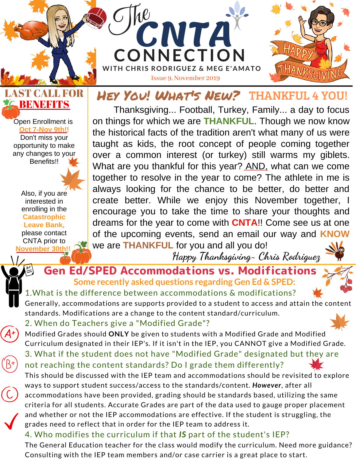

### LAST CALL FOR **BENEFITS**

Open Enrollment is **Oct 7-Nov 9th!!** Don't miss your opportunity to make any changes to your Benefits!!

Also, if you are interested in enrolling in the **Catastrophic Leave Bank,** please contact CNTA prior to **November 30th!!**

### Hey You! What's New? THANKFUL 4 YOU!

Thanksgiving... Football, Turkey, Family... a day to focus on things for which we are **THANKFUL**. Though we now know the historical facts of the tradition aren't what many of us were taught as kids, the root concept of people coming together over a common interest (or turkey) still warms my giblets. What are you thankful for this year? AND, what can we come together to resolve in the year to come? The athlete in me is always looking for the chance to be better, do better and create better. While we enjoy this November together, I encourage you to take the time to share your thoughts and dreams for the year to come with **CNTA**!! Come see us at one of the upcoming events, send an email our way and **KNOW** we are **THANKFUL** for you and all you do!

**Happy Thanksgiving~ Chris Rodriguez**

### Gen Ed/SPED Accommodations vs. Modifications **Some recently asked questions regarding Gen Ed & SPED:**

1.What is the difference between accommodations & modifications?

Generally, accommodations are supports provided to a student to access and attain the content standards. Modifications are a change to the content standard/curriculum.

#### 2. When do Teachers give a "Modified Grade"?

Modified Grades should **ONLY** be given to students with a Modified Grade and Modified Curriculum designated in their IEP's. If it isn't in the IEP, you CANNOT give a Modified Grade.

3. What if the student does not have "Modified Grade" designated but they are not reaching the content standards? Do I grade them differently?

This should be discussed with the IEP team and accommodations should be revisited to explore ways to support student success/access to the standards/content. *However*, after all accommodations have been provided, grading should be standards based, utilizing the same criteria for all students. Accurate Grades are part of the data used to gauge proper placement and whether or not the IEP accommodations are effective. If the student is struggling, the grades need to reflect that in order for the IEP team to address it.

### 4. Who modifies the curriculum if that *IS* part of the student's IEP?

The General Education teacher for the class would modify the curriculum. Need more guidance? Consulting with the IEP team members and/or case carrier is a great place to start.